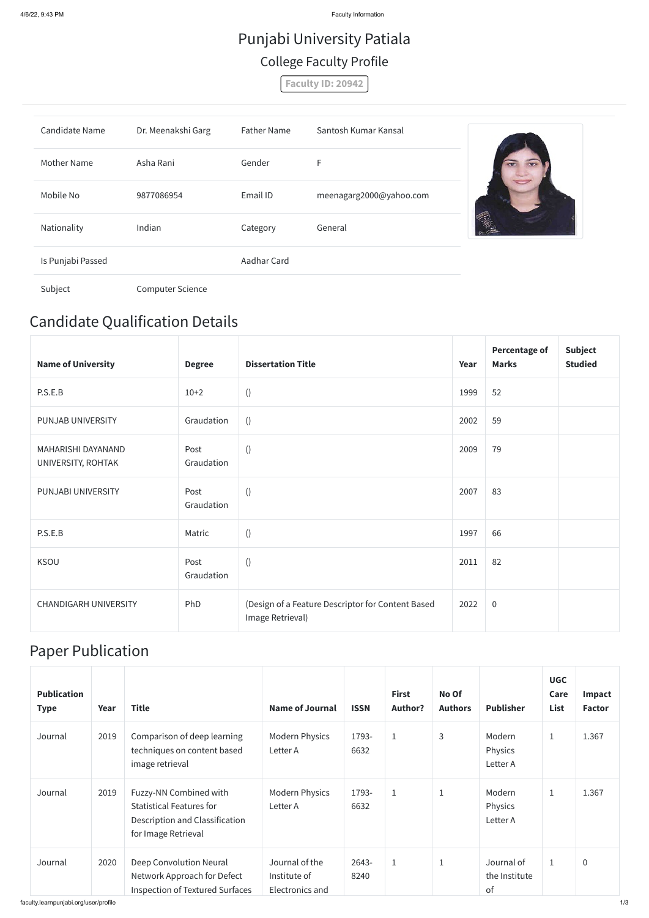4/6/22, 9:43 PM Faculty Information

### Candidate Qualification Details

| <b>Name of University</b>                | <b>Degree</b>      | <b>Dissertation Title</b>                                             | Year | <b>Percentage of</b><br><b>Marks</b> | <b>Subject</b><br><b>Studied</b> |
|------------------------------------------|--------------------|-----------------------------------------------------------------------|------|--------------------------------------|----------------------------------|
| P.S.E.B                                  | $10+2$             | $\left( \right)$                                                      | 1999 | 52                                   |                                  |
| PUNJAB UNIVERSITY                        | Graudation         | ()                                                                    | 2002 | 59                                   |                                  |
| MAHARISHI DAYANAND<br>UNIVERSITY, ROHTAK | Post<br>Graudation | $\left( \right)$                                                      | 2009 | 79                                   |                                  |
| PUNJABI UNIVERSITY                       | Post<br>Graudation | $\left( \right)$                                                      | 2007 | 83                                   |                                  |
| P.S.E.B                                  | Matric             | $\left( \right)$                                                      | 1997 | 66                                   |                                  |
| <b>KSOU</b>                              | Post<br>Graudation | $\left( \right)$                                                      | 2011 | 82                                   |                                  |
| <b>CHANDIGARH UNIVERSITY</b>             | PhD                | (Design of a Feature Descriptor for Content Based<br>Image Retrieval) | 2022 | $\overline{0}$                       |                                  |

### Paper Publication

| <b>Publication</b><br><b>Type</b> | Year | <b>Title</b>                                                                                                              | <b>Name of Journal</b>                            | <b>ISSN</b>   | <b>First</b><br><b>Author?</b> | No Of<br><b>Authors</b> | <b>Publisher</b>                  | <b>UGC</b><br>Care<br>List | Impact<br><b>Factor</b> |
|-----------------------------------|------|---------------------------------------------------------------------------------------------------------------------------|---------------------------------------------------|---------------|--------------------------------|-------------------------|-----------------------------------|----------------------------|-------------------------|
| Journal                           | 2019 | Comparison of deep learning<br>techniques on content based<br>image retrieval                                             | <b>Modern Physics</b><br>Letter A                 | 1793-<br>6632 | $\mathbf 1$                    | 3                       | Modern<br>Physics<br>Letter A     | $\mathbf{1}$               | 1.367                   |
| Journal                           | 2019 | Fuzzy-NN Combined with<br><b>Statistical Features for</b><br><b>Description and Classification</b><br>for Image Retrieval | <b>Modern Physics</b><br>Letter A                 | 1793-<br>6632 | $\mathbf{1}$                   | 1                       | Modern<br>Physics<br>Letter A     | $\mathbf{1}$               | 1.367                   |
| Journal                           | 2020 | Deep Convolution Neural<br>Network Approach for Defect<br><b>Inspection of Textured Surfaces</b>                          | Journal of the<br>Institute of<br>Electronics and | 2643-<br>8240 | $\mathbf 1$                    | $\mathbf 1$             | Journal of<br>the Institute<br>of | $\mathbf{1}$               | $\mathbf 0$             |

faculty.learnpunjabi.org/user/profile 1/3

# Punjabi University Patiala College Faculty Profile

**Faculty ID: 20942**

| Candidate Name    | Dr. Meenakshi Garg      | <b>Father Name</b> | Santosh Kumar Kansal    |  |
|-------------------|-------------------------|--------------------|-------------------------|--|
| Mother Name       | Asha Rani               | Gender             | F                       |  |
| Mobile No         | 9877086954              | Email ID           | meenagarg2000@yahoo.com |  |
| Nationality       | Indian                  | Category           | General                 |  |
| Is Punjabi Passed |                         | Aadhar Card        |                         |  |
| Subject           | <b>Computer Science</b> |                    |                         |  |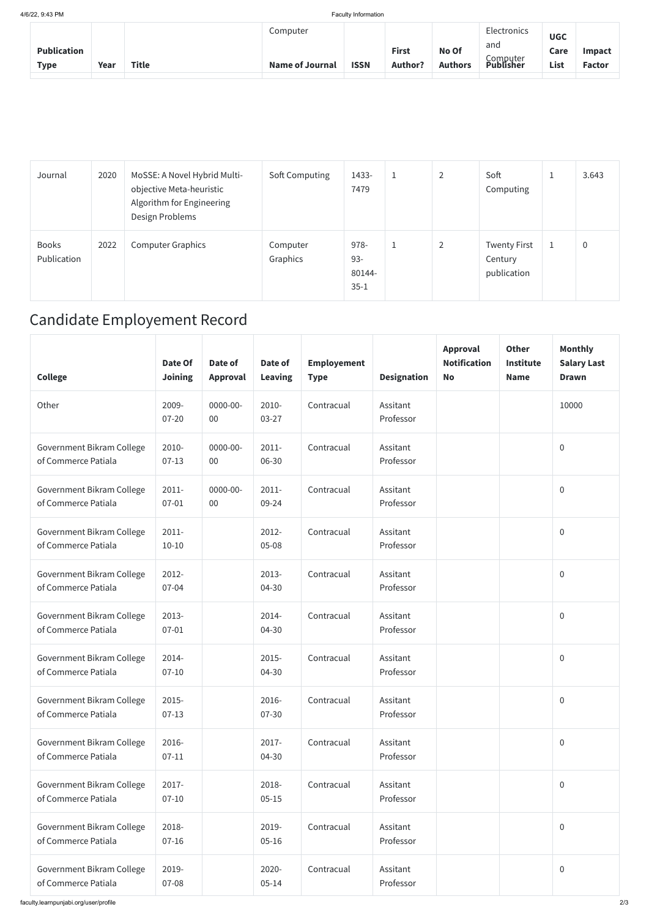4/6/22, 9:43 PM Faculty Information

| <b>Publication</b><br><b>Type</b> | Year | <b>Title</b> | Computer<br><b>Name of Journal</b> | <b>ISSN</b> | <b>First</b><br><b>Author?</b> | No Of<br><b>Authors</b> | Electronics<br>and<br>Computer<br><b>Publisher</b> | <b>UGC</b><br>Care<br>List | <b>Impact</b><br><b>Factor</b> |
|-----------------------------------|------|--------------|------------------------------------|-------------|--------------------------------|-------------------------|----------------------------------------------------|----------------------------|--------------------------------|
|                                   |      |              |                                    |             |                                |                         |                                                    |                            |                                |

| Journal                     | 2020 | MoSSE: A Novel Hybrid Multi-<br>objective Meta-heuristic<br>Algorithm for Engineering<br>Design Problems | Soft Computing       | 1433-<br>7479                        | $\mathbf{1}$ | $\overline{2}$ | Soft<br>Computing                             | <b>J</b> | 3.643       |
|-----------------------------|------|----------------------------------------------------------------------------------------------------------|----------------------|--------------------------------------|--------------|----------------|-----------------------------------------------|----------|-------------|
| <b>Books</b><br>Publication | 2022 | <b>Computer Graphics</b>                                                                                 | Computer<br>Graphics | 978-<br>$93 -$<br>80144-<br>$35 - 1$ | $\mathbf{1}$ | $\overline{2}$ | <b>Twenty First</b><br>Century<br>publication | T.       | $\mathbf 0$ |

## Candidate Employement Record

| <b>College</b>                                   | Date Of<br><b>Joining</b> | Date of<br><b>Approval</b> | Date of<br><b>Leaving</b> | <b>Employement</b><br><b>Type</b> | <b>Designation</b>    | Approval<br><b>Notification</b><br><b>No</b> | <b>Other</b><br><b>Institute</b><br><b>Name</b> | <b>Monthly</b><br><b>Salary Last</b><br><b>Drawn</b> |
|--------------------------------------------------|---------------------------|----------------------------|---------------------------|-----------------------------------|-----------------------|----------------------------------------------|-------------------------------------------------|------------------------------------------------------|
| Other                                            | 2009-<br>$07 - 20$        | $0000 - 00 -$<br>$00\,$    | 2010-<br>$03 - 27$        | Contracual                        | Assitant<br>Professor |                                              |                                                 | 10000                                                |
| Government Bikram College<br>of Commerce Patiala | 2010-<br>$07-13$          | $0000 - 00 -$<br>$00\,$    | $2011 -$<br>06-30         | Contracual                        | Assitant<br>Professor |                                              |                                                 | $\mathbf 0$                                          |
| Government Bikram College<br>of Commerce Patiala | $2011 -$<br>$07 - 01$     | $0000 - 00 -$<br>$00\,$    | $2011 -$<br>09-24         | Contracual                        | Assitant<br>Professor |                                              |                                                 | $\mathbf 0$                                          |
| Government Bikram College<br>of Commerce Patiala | $2011 -$<br>$10 - 10$     |                            | 2012-<br>$05 - 08$        | Contracual                        | Assitant<br>Professor |                                              |                                                 | $\mathbf 0$                                          |
| Government Bikram College<br>of Commerce Patiala | 2012-<br>$07 - 04$        |                            | 2013-<br>04-30            | Contracual                        | Assitant<br>Professor |                                              |                                                 | $\overline{0}$                                       |
| Government Bikram College<br>of Commerce Patiala | 2013-<br>$07 - 01$        |                            | 2014-<br>04-30            | Contracual                        | Assitant<br>Professor |                                              |                                                 | $\mathbf 0$                                          |
| Government Bikram College<br>of Commerce Patiala | 2014-<br>$07 - 10$        |                            | 2015-<br>04-30            | Contracual                        | Assitant<br>Professor |                                              |                                                 | $\overline{0}$                                       |
| Government Bikram College<br>of Commerce Patiala | 2015-<br>$07-13$          |                            | 2016-<br>07-30            | Contracual                        | Assitant<br>Professor |                                              |                                                 | $\overline{0}$                                       |
| Government Bikram College<br>of Commerce Patiala | 2016-<br>$07-11$          |                            | 2017-<br>04-30            | Contracual                        | Assitant<br>Professor |                                              |                                                 | $\mathbf 0$                                          |
| Government Bikram College<br>of Commerce Patiala | 2017-<br>$07 - 10$        |                            | 2018-<br>$05 - 15$        | Contracual                        | Assitant<br>Professor |                                              |                                                 | $\mathbf 0$                                          |
| Government Bikram College<br>of Commerce Patiala | 2018-<br>$07 - 16$        |                            | 2019-<br>$05 - 16$        | Contracual                        | Assitant<br>Professor |                                              |                                                 | $\overline{0}$                                       |
| Government Bikram College<br>of Commerce Patiala | 2019-<br>07-08            |                            | 2020-<br>$05 - 14$        | Contracual                        | Assitant<br>Professor |                                              |                                                 | $\overline{0}$                                       |